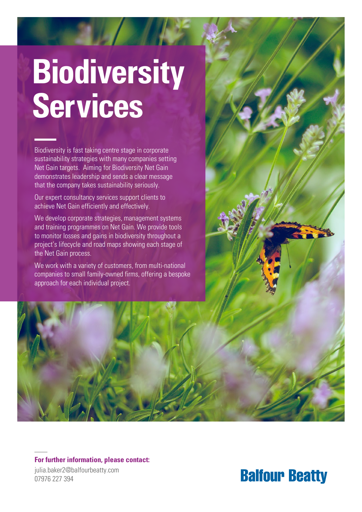# **Biodiversity Services**

Biodiversity is fast taking centre stage in corporate sustainability strategies with many companies setting Net Gain targets. Aiming for Biodiversity Net Gain demonstrates leadership and sends a clear message that the company takes sustainability seriously.

Our expert consultancy services support clients to achieve Net Gain efficiently and effectively.

We develop corporate strategies, management systems and training programmes on Net Gain. We provide tools to monitor losses and gains in biodiversity throughout a project's lifecycle and road maps showing each stage of the Net Gain process.

We work with a variety of customers, from multi-national companies to small family-owned firms, offering a bespoke approach for each individual project.



### **For further information, please contact:**

julia.baker2@balfourbeatty.com 07976 227 394